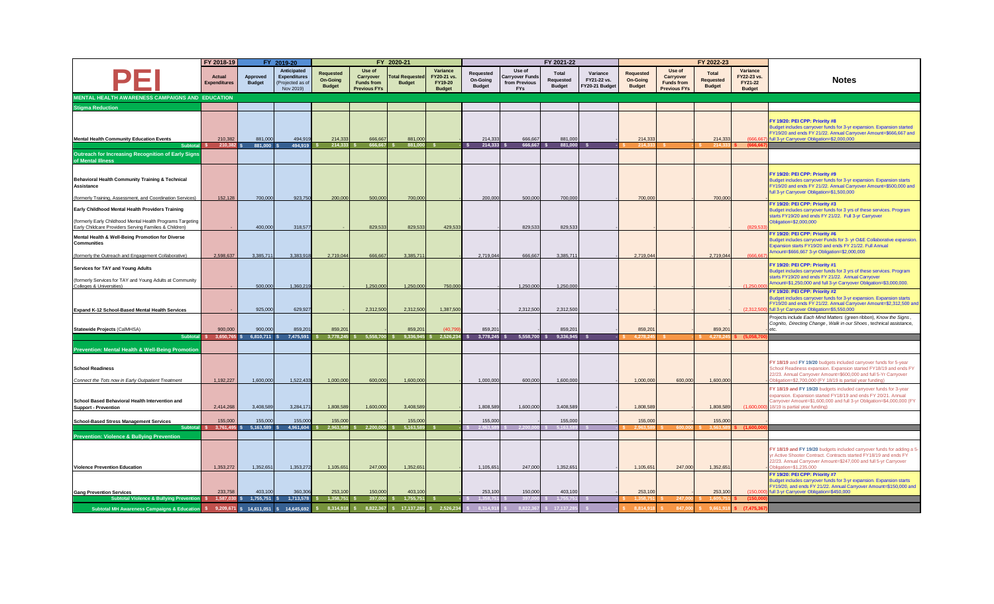|                                                                                                                                                                          | FY 2018-19<br>FY 2019-20      |                           |                                                                     |                                               | FY 2020-21                                                             |                                 |                                                     |                                               | FY 2021-22                                                      |                                            |                                           |                                               | FY 2022-23                                                      |                                                   |                                                     |                                                                                                                                                                                                                                                                         |
|--------------------------------------------------------------------------------------------------------------------------------------------------------------------------|-------------------------------|---------------------------|---------------------------------------------------------------------|-----------------------------------------------|------------------------------------------------------------------------|---------------------------------|-----------------------------------------------------|-----------------------------------------------|-----------------------------------------------------------------|--------------------------------------------|-------------------------------------------|-----------------------------------------------|-----------------------------------------------------------------|---------------------------------------------------|-----------------------------------------------------|-------------------------------------------------------------------------------------------------------------------------------------------------------------------------------------------------------------------------------------------------------------------------|
|                                                                                                                                                                          | Actual<br><b>Expenditures</b> | Approved<br><b>Budget</b> | Anticipated<br><b>Expenditures</b><br>(Projected as of<br>Nov 2019) | <b>Requested</b><br>On-Going<br><b>Budget</b> | Use of<br><b>Carrvover</b><br><b>Funds from</b><br><b>Previous FYs</b> | otal Requester<br><b>Budget</b> | Variance<br>FY20-21 vs.<br>FY19-20<br><b>Budget</b> | <b>Requested</b><br>On-Goina<br><b>Budget</b> | Use of<br><b>Carryover Funds</b><br>from Previous<br><b>FYs</b> | Total<br><b>Requested</b><br><b>Budget</b> | Variance<br>FY21-22 vs.<br>FY20-21 Budget | <b>Requested</b><br>On-Goina<br><b>Budget</b> | Use of<br>Carryover<br><b>Funds from</b><br><b>Previous FYs</b> | <b>Total</b><br><b>Requested</b><br><b>Budget</b> | Variance<br>FY22-23 vs.<br>FY21-22<br><b>Budget</b> | <b>Notes</b>                                                                                                                                                                                                                                                            |
| MENTAL HEALTH AWARENESS CAMPAIGNS AND EDUCATION                                                                                                                          |                               |                           |                                                                     |                                               |                                                                        |                                 |                                                     |                                               |                                                                 |                                            |                                           |                                               |                                                                 |                                                   |                                                     |                                                                                                                                                                                                                                                                         |
| <b>Stigma Reduction</b>                                                                                                                                                  |                               |                           |                                                                     |                                               |                                                                        |                                 |                                                     |                                               |                                                                 |                                            |                                           |                                               |                                                                 |                                                   |                                                     |                                                                                                                                                                                                                                                                         |
| <b>Mental Health Community Education Events</b>                                                                                                                          | 210,382                       | 881.000                   | 494.919                                                             | 214,333                                       | 666.667                                                                | 881,000                         |                                                     | 214.333                                       | 666,667                                                         | 881,000                                    |                                           | 214,333                                       |                                                                 | 214,333                                           |                                                     | FY 19/20: PEI CPP: Priority #8<br>Budget includes carryover funds for 3-yr expansion. Expansion started<br>FY19/20 and ends FY 21/22. Annual Carryover Amount=\$666,667 and<br>full 3-yr Carryover Obligation=\$2,000,000                                               |
| Subtotal                                                                                                                                                                 | 210.382                       | 881.000                   | 494.919                                                             | 214.333                                       | 666.667                                                                | 881.000                         |                                                     | 214.333                                       | 666.667                                                         | 881.000                                    |                                           |                                               |                                                                 |                                                   |                                                     |                                                                                                                                                                                                                                                                         |
| Outreach for Increasing Recognition of Early Signs<br>of Mental Illness                                                                                                  |                               |                           |                                                                     |                                               |                                                                        |                                 |                                                     |                                               |                                                                 |                                            |                                           |                                               |                                                                 |                                                   |                                                     |                                                                                                                                                                                                                                                                         |
| Behavioral Health Community Training & Technical<br><b>Assistance</b><br>(formerly Training, Assessment, and Coordination Services)                                      | 152,128                       | 700,000                   | 923,750                                                             | 200,000                                       | 500,000                                                                | 700,000                         |                                                     | 200,000                                       | 500,000                                                         | 700.00                                     |                                           | 700,00                                        |                                                                 | 700,000                                           |                                                     | FY 19/20: PEI CPP: Priority #9<br>Budget includes carryover funds for 3-yr expansion. Expansion starts<br>FY19/20 and ends FY 21/22. Annual Carryover Amount=\$500,000 and<br>full 3-yr Carryover Obligation=\$1,500,000                                                |
|                                                                                                                                                                          |                               |                           |                                                                     |                                               |                                                                        |                                 |                                                     |                                               |                                                                 |                                            |                                           |                                               |                                                                 |                                                   |                                                     | FY 19/20: PEI CPP: Priority #3                                                                                                                                                                                                                                          |
| Early Childhood Mental Health Providers Training<br>(formerly Early Childhood Mental Health Programs Targeting<br>Early Childcare Providers Serving Families & Children) |                               | 400,000                   | 318,577                                                             |                                               | 829.533                                                                | 829,533                         | 429,533                                             |                                               | 829,533                                                         | 829.53                                     |                                           |                                               |                                                                 |                                                   | (829.53                                             | Budget includes carryover funds for 3 yrs of these services. Program<br>starts FY19/20 and ends FY 21/22. Full 3-yr Carryover<br>Obligation=\$2,000,000                                                                                                                 |
| Mental Health & Well-Being Promotion for Diverse<br>Communities                                                                                                          |                               |                           |                                                                     |                                               |                                                                        |                                 |                                                     |                                               |                                                                 |                                            |                                           |                                               |                                                                 |                                                   |                                                     | FY 19/20: PEI CPP: Priority #6<br>Budget includes carryover Funds for 3- yr O&E Collaborative expansion.<br>Expansion starts FY19/20 and ends FY 21/22. Full Annual<br>Amount=\$666,667 3-yr Obligation=\$2,000,000                                                     |
| (formerly the Outreach and Engagement Collaborative)                                                                                                                     | 2,598,637                     | 3,385,711                 | 3,383,918                                                           | 2,719,044                                     | 666,667                                                                | 3,385,71                        |                                                     | 2,719,044                                     | 666,667                                                         | 3,385,71                                   |                                           | 2,719,044                                     |                                                                 | 2,719,044                                         | IRRR                                                |                                                                                                                                                                                                                                                                         |
| Services for TAY and Young Adults<br>(formerly Services for TAY and Young Adults at Community<br>Colleges & Universities)                                                |                               | 500,000                   | 1,360,219                                                           |                                               | 1,250,000                                                              | 1,250,000                       | 750,000                                             |                                               | 1,250,000                                                       | 1,250,00                                   |                                           |                                               |                                                                 |                                                   | (1.250.000)                                         | FY 19/20: PEI CPP: Priority #1<br>Budget includes carryover funds for 3 yrs of these services. Program<br>starts FY19/20 and ends FY 21/22. Annual Carryover<br>Amount=\$1,250,000 and full 3-yr Carryover Obligation=\$3,000,000.                                      |
| Expand K-12 School-Based Mental Health Services                                                                                                                          |                               | 925,000                   | 629,927                                                             |                                               | 2,312,500                                                              | 2,312,500                       | 1,387,500                                           |                                               | 2,312,500                                                       | 2,312,50                                   |                                           |                                               |                                                                 |                                                   | (2,312,500)                                         | FY 19/20: PEI CPP: Priority #2<br>Budget includes carryover funds for 3-yr expansion. Expansion starts<br>FY19/20 and ends FY 21/22. Annual Carryover Amount=\$2,312,500 and<br>full 3-yr Carryover Obligation=\$5,550,000                                              |
| Statewide Projects (CalMHSA)                                                                                                                                             | 900,000                       | 900,000                   | 859.20                                                              | 859,201                                       |                                                                        | 859.20                          | (40.79)                                             | 859.201                                       |                                                                 | 859.20                                     |                                           | 859.201                                       |                                                                 | 859.20                                            |                                                     | Projects include Each Mind Matters (green ribbon), Know the Signs,<br>Cognito, Directing Change, Walk in our Shoes, technical assistance,                                                                                                                               |
| <b>Subtota</b>                                                                                                                                                           | 3.650.76                      | 6.810.711                 | 7.475.591                                                           | 3,778,245                                     | 5.558.70                                                               | 9.336.945                       | 2.526.23                                            | 3,778,245                                     | 5.558.700                                                       | 9,336,945                                  |                                           |                                               |                                                                 |                                                   |                                                     |                                                                                                                                                                                                                                                                         |
| Prevention: Mental Health & Well-Being Promotion                                                                                                                         |                               |                           |                                                                     |                                               |                                                                        |                                 |                                                     |                                               |                                                                 |                                            |                                           |                                               |                                                                 |                                                   |                                                     |                                                                                                                                                                                                                                                                         |
| <b>School Readiness</b><br>Connect the Tots now in Early Outpatient Treatment                                                                                            | 1,192,227                     | 1,600,000                 | 1,522,433                                                           | 1,000,000                                     | 600,000                                                                | 1,600,000                       |                                                     | 1,000,000                                     | 600,000                                                         | 1,600,00                                   |                                           | 1,000,000                                     | 600,000                                                         | 1,600,000                                         |                                                     | FY 18/19 and FY 19/20 budgets included carryover funds for 5-year<br>School Readiness expansion. Expansion started FY18/19 and ends FY<br>22/23. Annual Carryover Amount=\$600,000 and full 5-Yr Carryover<br>Dbligation=\$2,700,000 (FY 18/19 is partial year funding) |
| School Based Behavioral Health Intervention and<br><b>Support - Prevention</b>                                                                                           | 2,414,268                     | 3.408.589                 | 3,284,171                                                           | 1.808.589                                     | 1,600,000                                                              | 3,408,589                       |                                                     | 1.808.589                                     | 1.600.000                                                       | 3.408.58                                   |                                           | 1.808.589                                     |                                                                 | 1.808.589                                         | (1.600.000                                          | FY 18/19 and FY 19/20 budgets included carryover funds for 3-year<br>expansion. Expansion started FY18/19 and ends FY 20/21. Annual<br>Carryover Amount=\$1,600,000 and full 3-yr Obligation=\$4,000,000 (FY<br>18/19 is partial year funding)                          |
|                                                                                                                                                                          |                               |                           |                                                                     |                                               |                                                                        |                                 |                                                     |                                               |                                                                 |                                            |                                           |                                               |                                                                 |                                                   |                                                     |                                                                                                                                                                                                                                                                         |
| <b>School-Based Stress Management Services</b><br>Subtotal                                                                                                               | 155,000<br>3,761,495          | 155,000<br>5.163.589      | 155,00<br>4.961.604                                                 | 155,000<br>2.963.589                          | 2.200.000                                                              | 155,000<br>5.163.589            |                                                     | 155,000<br>2.963.58                           | 2.200.00                                                        | 155,000<br>5.163.5                         |                                           | 155,000                                       |                                                                 | 155,000                                           | (1.60)                                              |                                                                                                                                                                                                                                                                         |
| <b>Prevention: Violence &amp; Bullying Prevention</b>                                                                                                                    |                               |                           |                                                                     |                                               |                                                                        |                                 |                                                     |                                               |                                                                 |                                            |                                           |                                               |                                                                 |                                                   |                                                     |                                                                                                                                                                                                                                                                         |
| <b>Violence Prevention Education</b>                                                                                                                                     | 1.353.272                     | 1.352.651                 | 1.353.272                                                           | 1.105.651                                     | 247,000                                                                | 1.352.65                        |                                                     | 1.105.651                                     | 247,000                                                         | 1.352.65                                   |                                           | 1,105,651                                     | 247,000                                                         | 1.352.65                                          |                                                     | FY 18/19 and FY 19/20 budgets included carryover funds for adding a 5-<br>vr Active Shooter Contract, Contracts started FY18/19 and ends FY<br>22/23. Annual Carryover Amount=\$247,000 and full 5-yr Carryover<br>Obligation=\$1,235,000                               |
|                                                                                                                                                                          |                               |                           |                                                                     |                                               |                                                                        |                                 |                                                     |                                               |                                                                 |                                            |                                           |                                               |                                                                 |                                                   |                                                     | FY 19/20: PEI CPP: Priority #7<br>Budget includes carryover funds for 3-yr expansion. Expansion starts<br>FY19/20, and ends FY 21/22. Annual Carryover Amount=\$150,000 and                                                                                             |
| <b>Gang Prevention Services</b><br>Subtotal Violence & Bullying Prevention \$                                                                                            | 233,758<br>$1,587,030$ \$     | 403.100<br>$1,755,751$ \$ | 360,306<br>$1,713,578$ \$                                           | 253,100<br>$1,358,751$ \$                     | 150,000<br>397,000 \$                                                  | 403.100<br>1,755,751            |                                                     | 253.100<br>1.358.751                          | 150,000<br>397.00                                               | 403.10<br>1.755.7                          |                                           | 253,100                                       |                                                                 | 253,100                                           | (150.0)<br>(150)                                    | ull 3-yr Carryover Obligation=\$450,000                                                                                                                                                                                                                                 |
| Subtotal MH Awareness Campaigns & Education \$ 9,209,671 \$                                                                                                              |                               | 14.611.051 \$             | 14.645.692                                                          | 8.314.918 S                                   | 8.822.367                                                              | \$ 17.137.285 \$ 2.526.234      |                                                     |                                               | 3 822 F                                                         |                                            |                                           | 001404                                        |                                                                 | 9.661.91                                          | (7.475.3)                                           |                                                                                                                                                                                                                                                                         |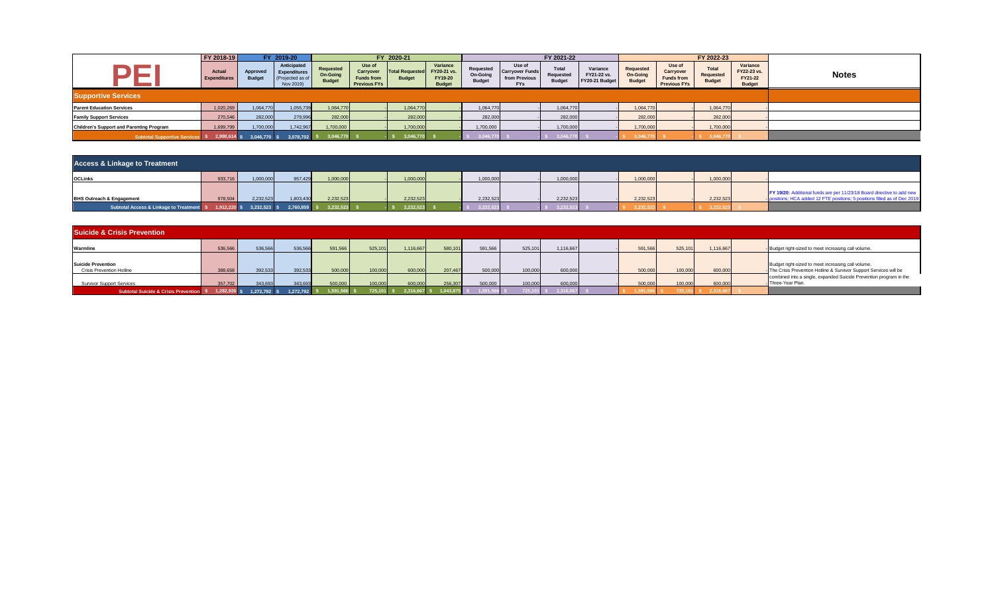|                                                 | FY 2018-19                    |                                  | FY 2019-20                                                         |                                        |                                                                 | FY 2020-21                              |                                                     |                                        |                                                                 | FY 2021-22                          |                                           |                                        |                                                                 | FY 2022-23                          |                                                     |              |
|-------------------------------------------------|-------------------------------|----------------------------------|--------------------------------------------------------------------|----------------------------------------|-----------------------------------------------------------------|-----------------------------------------|-----------------------------------------------------|----------------------------------------|-----------------------------------------------------------------|-------------------------------------|-------------------------------------------|----------------------------------------|-----------------------------------------------------------------|-------------------------------------|-----------------------------------------------------|--------------|
|                                                 | Actual<br><b>Expenditures</b> | <b>Approved</b><br><b>Budget</b> | Anticipated<br><b>Expenditures</b><br>(Projected as o<br>Nov 2019) | Requested<br>On-Going<br><b>Budget</b> | Use of<br>Carryover<br><b>Funds from</b><br><b>Previous FYs</b> | <b>Total Requested</b><br><b>Budget</b> | Variance<br>FY20-21 vs.<br>FY19-20<br><b>Budget</b> | Requested<br>On-Going<br><b>Budget</b> | Use of<br><b>Carryover Funds</b><br>from Previous<br><b>FYs</b> | Total<br>Requested<br><b>Budget</b> | Variance<br>FY21-22 vs.<br>FY20-21 Budget | Requested<br>On-Going<br><b>Budget</b> | Use of<br>Carryover<br><b>Funds from</b><br><b>Previous FYs</b> | Total<br>Requested<br><b>Budget</b> | Variance<br>FY22-23 vs.<br>FY21-22<br><b>Budget</b> | <b>Notes</b> |
| <b>Supportive Services</b>                      |                               |                                  |                                                                    |                                        |                                                                 |                                         |                                                     |                                        |                                                                 |                                     |                                           |                                        |                                                                 |                                     |                                                     |              |
| <b>Parent Education Services</b>                | 1,020,269                     | 1,064,770                        | 1,055,739                                                          | 1,064,770                              |                                                                 | 1,064,770                               |                                                     | 1,064,770                              |                                                                 | 1,064,770                           |                                           | 1,064,770                              |                                                                 | 1,064,770                           |                                                     |              |
| <b>Family Support Services</b>                  | 270,546                       | 282,000                          | 279,996                                                            | 282,000                                |                                                                 | 282,000                                 |                                                     | 282,000                                |                                                                 | 282,000                             |                                           | 282,000                                |                                                                 | 282,000                             |                                                     |              |
| <b>Children's Support and Parenting Program</b> | 1,699,799                     | 1,700,000                        | 1,742,967                                                          | 1,700,000                              |                                                                 | 1,700,000                               |                                                     | 1,700,000                              |                                                                 | 1,700,000                           |                                           | 1,700,000                              |                                                                 | 1,700,000                           |                                                     |              |
| <b>Subtotal Supportive Services</b> \$          | 2,990,614 \$                  | 3.046.770 \$                     | 3.078.702                                                          | 3,046,770                              |                                                                 | 3,046,770                               |                                                     | 3,046,                                 |                                                                 | 3,046,7                             |                                           | 3,046,7                                |                                                                 | 3,046,77                            |                                                     |              |

| <b>Access &amp; Linkage to Treatment</b>  |         |                               |                |           |  |           |  |           |  |             |  |           |  |           |                                                                                                                                                      |
|-------------------------------------------|---------|-------------------------------|----------------|-----------|--|-----------|--|-----------|--|-------------|--|-----------|--|-----------|------------------------------------------------------------------------------------------------------------------------------------------------------|
| <b>OCLInks</b>                            | 933,716 | 1,000,000                     | 957,429        | 1,000,000 |  | 1,000,000 |  | 1,000,000 |  | 1,000,000   |  | 1,000,000 |  | 1,000,000 |                                                                                                                                                      |
| <b>BHS Outreach &amp; Engagement</b>      | 978,504 | 2,232,523                     | 1,803,430      | 2,232,523 |  | 2,232,523 |  | 2,232,523 |  | 2,232,523   |  | 2,232,523 |  | 2,232,523 | FY 19/20: Additional funds are per 11/23/18 Board directive to add new<br>- positions; HCA added 12 FTE positions; 5 positions filled as of Dec 2019 |
| Subtotal Access & Linkage to Treatment \$ |         | $1,912,220$ \$ $3,232,523$ \$ | $2,760,859$ \$ | 3,232,523 |  | 3,232,523 |  | 3 232 523 |  | $-3,232,52$ |  | 3 232 5   |  | 3.232     |                                                                                                                                                      |

| <b>Suicide &amp; Crisis Prevention</b>                        |              |           |                |              |         |                         |         |                          |         |            |  |         |         |           |  |                                                                                                                           |
|---------------------------------------------------------------|--------------|-----------|----------------|--------------|---------|-------------------------|---------|--------------------------|---------|------------|--|---------|---------|-----------|--|---------------------------------------------------------------------------------------------------------------------------|
| Warmline                                                      | 536,566      | 536,566   | 536,566        | 591,566      | 525,101 | 1,116,667               | 580,101 | 591,566                  | 525,101 | 1,116,667  |  | 591,566 | 525.101 | 1,116,667 |  | - Budget right-sized to meet increasing call volume.                                                                      |
| <b>Suicide Prevention</b><br><b>Crisis Prevention Hotline</b> | 388,658      | 392,533   | 392,533        | 500,000      | 100,000 | 600,000                 | 207,467 | 500,000                  | 100,000 | 600,000    |  | 500,000 | 100,000 | 600,000   |  | Budget right-sized to meet increasing call volume.<br>- The Crisis Prevention Hotline & Survivor Support Services will be |
| <b>Survivor Support Services</b>                              | 357,702      | 343,693   | 343,693        | 500,000      | 100,000 | 600,000                 | 256,307 | 500,000                  | 100,000 | 600,000    |  | 500,000 | 100,000 | 600,000   |  | combined into a single, expanded Suicide Prevention program in the<br>Three-Year Plan.                                    |
| <b>Subtotal Suicide &amp; Crisis Prevention \$</b>            | 1,282,926 \$ | 1,272,792 | $1,272,792$ \$ | 1,591,566 \$ |         | 725,101 \$ 2,316,667 \$ |         | $1,043,875$ \$ 1,591,566 |         | 62,316,667 |  |         |         |           |  |                                                                                                                           |